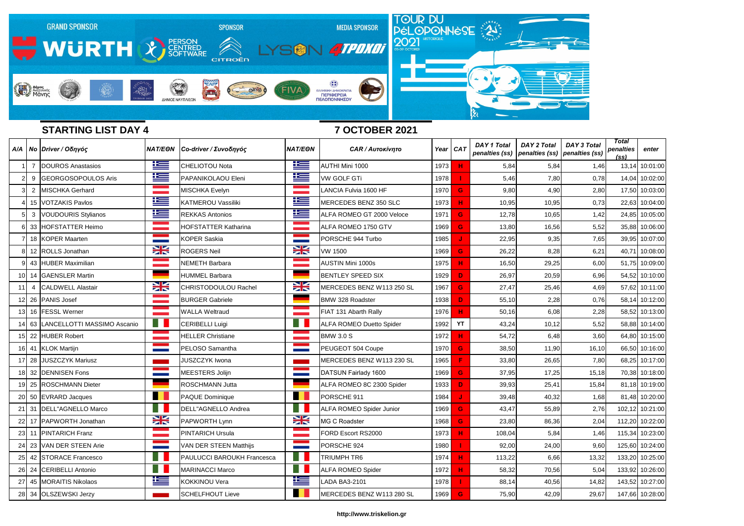

# **STARTING LIST DAY 4 7 OCTOBER 2021**

|     |                | A/A   No   Driver / Οδηγός       | <b>NAT/EON</b>      | Co-driver / Συνοδηγός       | <b>NAT/EON</b> | <b>CAR / Αυτοκίνητο</b>         | Year $CAT$ |                | <b>DAY 1 Total</b> | <b>DAY 2 Total</b><br>penalties (ss)   penalties (ss)   penalties (ss) | <b>DAY 3 Total</b> | <b>Total</b><br>penalties<br>(s <sub>S</sub> ) | enter           |
|-----|----------------|----------------------------------|---------------------|-----------------------------|----------------|---------------------------------|------------|----------------|--------------------|------------------------------------------------------------------------|--------------------|------------------------------------------------|-----------------|
|     | - 7            | DOUROS Anastasios                | <u>ika </u>         | <b>CHELIOTOU Nota</b>       | 上三             | AUTHI Mini 1000                 | 1973       | <b>H</b>       | 5,84               | 5,84                                                                   | 1,46               | 13,14                                          | 10:01:00        |
|     | 9              | GEORGOSOPOULOS Aris              | <u>is –</u>         | PAPANIKOLAOU Eleni          | 些              | <b>VW GOLF GTi</b>              | 1978       |                | 5,46               | 7,80                                                                   | 0,78               | 14,04                                          | 10:02:00        |
|     | $\overline{2}$ | MISCHKA Gerhard                  |                     | MISCHKA Evelyn              |                | LANCIA Fulvia 1600 HF           | 1970       | $\mathbf{G}$   | 9,80               | 4,90                                                                   | 2,80               | 17,50                                          | 10:03:00        |
|     |                | 15 VOTZAKIS Pavlos               | $\pm$               | <b>KATMEROU Vassiliki</b>   | $\pm$          | MERCEDES BENZ 350 SLC           | 1973       | н              | 10,95              | 10,95                                                                  | 0,73               | 22,63                                          | 10:04:00        |
|     |                | 3 VOUDOURIS Stylianos            | <u>is </u>          | <b>REKKAS Antonios</b>      | <u>te</u>      | ALFA ROMEO GT 2000 Veloce       | 1971       | <b>G</b>       | 12,78              | 10,65                                                                  | 1,42               | 24,85                                          | 10:05:00        |
|     |                | 33 HOFSTATTER Heimo              |                     | <b>HOFSTATTER Katharina</b> |                | ALFA ROMEO 1750 GTV             | 1969       | G              | 13,80              | 16,56                                                                  | 5,52               | 35,88                                          | 10:06:00        |
|     |                | 18 KOPER Maarten                 |                     | <b>KOPER Saskia</b>         |                | PORSCHE 944 Turbo               | 1985       |                | 22,95              | 9,35                                                                   | 7,65               | 39,95                                          | 10:07:00        |
|     |                | 8 12 ROLLS Jonathan              | $\frac{1}{2}$       | <b>ROGERS Neil</b>          | ₩              | VW 1500                         | 1969       | G              | 26,22              | 8,28                                                                   | 6,21               | 40,71                                          | 10:08:00        |
|     |                | 43 HUBER Maximilian              |                     | <b>NEMETH Barbara</b>       |                | AUSTIN Mini 1000s               | 1975       | Н              | 16,50              | 29,25                                                                  | 6,00               | 51,75                                          | 10:09:00        |
| 10I |                | 14 GAENSLER Martin               |                     | <b>HUMMEL Barbara</b>       |                | <b>BENTLEY SPEED SIX</b>        | 1929       | D              | 26,97              | 20,59                                                                  | 6,96               | 54,52                                          | 10:10:00        |
|     | 4              | <b>CALDWELL Alastair</b>         | X                   | CHRISTODOULOU Rachel        | XK             | MERCEDES BENZ W113 250 SL       | 1967       | G              | 27,47              | 25,46                                                                  | 4,69               | 57,62                                          | 10:11:00        |
|     |                | 12 26 PANIS Josef                |                     | <b>BURGER Gabriele</b>      |                | BMW 328 Roadster                | 1938       | D              | 55,10              | 2,28                                                                   | 0,76               | 58,14                                          | 10:12:00        |
|     |                | 13 16   FESSL Werner             |                     | <b>WALLA Weltraud</b>       |                | FIAT 131 Abarth Rally           | 1976       | Н              | 50,16              | 6,08                                                                   | 2,28               | 58,52                                          | 10:13:00        |
|     |                | 63   LANCELLOTTI MASSIMO Ascanio | Ħ                   | CERIBELLI Luigi             |                | <b>ALFA ROMEO Duetto Spider</b> | 1992       | YT             | 43,24              | 10,12                                                                  | 5,52               | 58,88                                          | 10:14:00        |
|     |                | 22 HUBER Robert                  |                     | <b>HELLER Christiane</b>    |                | <b>BMW 3.0 S</b>                | 1972       | $\mathbf H$    | 54,72              | 6,48                                                                   | 3,60               | 64,80                                          | 10:15:00        |
|     |                | 16 41 KLOK Martijn               |                     | PELOSO Samantha             |                | PEUGEOT 504 Coupe               | 1970       | G              | 38,50              | 11,90                                                                  | 16, 10             | 66,50                                          | 10:16:00        |
|     |                | 17 28 JUSZCZYK Mariusz           |                     | <b>JUSZCZYK Iwona</b>       |                | MERCEDES BENZ W113 230 SL       | 1965       | F              | 33,80              | 26,65                                                                  | 7,80               | 68,25                                          | 10:17:00        |
|     |                | 18 32 DENNISEN Fons              |                     | MEESTERS Jolijn             |                | DATSUN Fairlady 1600            | 1969       | G              | 37,95              | 17,25                                                                  | 15,18              | 70,38                                          | 10:18:00        |
|     |                | 19 25 ROSCHMANN Dieter           |                     | ROSCHMANN Jutta             |                | ALFA ROMEO 8C 2300 Spider       | 1933       | D              | 39,93              | 25,41                                                                  | 15,84              | 81,18                                          | 10:19:00        |
|     |                | 20 50 EVRARD Jacques             |                     | PAQUE Dominique             |                | PORSCHE 911                     | 1984       |                | 39,48              | 40,32                                                                  | 1,68               | 81,48                                          | 10:20:00        |
|     |                | 21 31  DELL"AGNELLO Marco        |                     | DELL"AGNELLO Andrea         |                | <b>ALFA ROMEO Spider Junior</b> | 1969       | G              | 43,47              | 55,89                                                                  | 2,76               | 102,12                                         | 10:21:00        |
|     |                | 22 17 PAPWORTH Jonathan          | XK                  | PAPWORTH Lynn               | X              | MG C Roadster                   | 1968       | $\overline{G}$ | 23,80              | 86,36                                                                  | 2,04               | 112,20                                         | 10:22:00        |
|     |                | 23 11 PINTARICH Franz            | anana.<br>Manazarta | <b>PINTARICH Ursula</b>     |                | FORD Escort RS2000              | 1973       | H.             | 108,04             | 5,84                                                                   | 1,46               | 115,34                                         | 10:23:00        |
|     |                | 24 23 VAN DER STEEN Arie         | =                   | VAN DER STEEN Matthijs      | ═              | PORSCHE 924                     | 1980       |                | 92,00              | 24,00                                                                  | 9,60               | 125,60                                         | 10:24:00        |
|     |                | 25 42 STORACE Francesco          | H.                  | PAULUCCI BAROUKH Francesca  | H              | <b>TRIUMPH TR6</b>              | 1974       | H              | 113,22             | 6,66                                                                   | 13,32              | 133,20                                         | 10:25:00        |
|     |                | 26 24 CERIBELLI Antonio          | H.                  | <b>MARINACCI Marco</b>      |                | <b>ALFA ROMEO Spider</b>        | 1972       | H              | 58,32              | 70,56                                                                  | 5,04               | 133,92                                         | 10:26:00        |
|     |                | 27 45 MORAITIS Nikolaos          | <u> Kes</u>         | KOKKINOU Vera               | <u>iks</u>     | LADA BA3-2101                   | 1978       |                | 88,14              | 40,56                                                                  | 14,82              | 143,52                                         | 10:27:00        |
|     |                | 28 34 OLSZEWSKI Jerzy            |                     | <b>SCHELFHOUT Lieve</b>     |                | MERCEDES BENZ W113 280 SL       | 1969       | $\mathbf{G}$   | 75,90              | 42,09                                                                  | 29,67              |                                                | 147,66 10:28:00 |

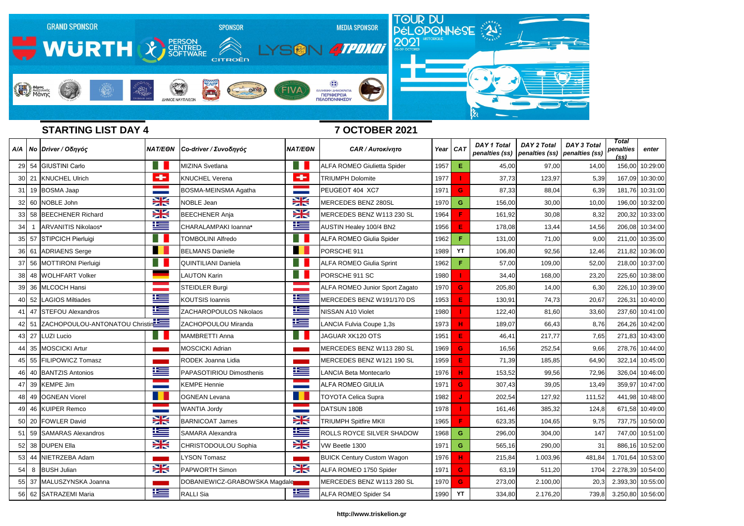

# **STARTING LIST DAY 4 7 OCTOBER 2021**

|    |       | A/A   No   Driver / Οδηγός           | <b>NAT/EON</b>    | Co-driver / Συνοδηγός         | <b>NAT/EON</b> | <b>CAR / Αυτοκίνητο</b>               | Year CAT |             | <b>DAY 1 Total</b> | <b>DAY 2 Total</b><br>penalties (ss)   penalties (ss)   penalties (ss) | <b>DAY 3 Total</b> | Total<br>penalties<br><u>(ss)</u> | enter             |
|----|-------|--------------------------------------|-------------------|-------------------------------|----------------|---------------------------------------|----------|-------------|--------------------|------------------------------------------------------------------------|--------------------|-----------------------------------|-------------------|
|    |       | 29 54 GIUSTINI Carlo                 |                   | <b>MIZINA Svetlana</b>        |                | <b>ALFA ROMEO Giulietta Spider</b>    | 1957     | E           | 45,00              | 97,00                                                                  | 14,00              | 156,00                            | 10:29:00          |
|    | 30 21 | <b>KNUCHEL Ulrich</b>                | $\div$            | <b>KNUCHEL Verena</b>         | $\rightarrow$  | <b>TRIUMPH Dolomite</b>               | 1977     |             | 37,73              | 123,97                                                                 | 5,39               | 167,09                            | 10:30:00          |
|    |       | 31 19 BOSMA Jaap                     | <b>STATISTICS</b> | BOSMA-MEINSMA Agatha          |                | PEUGEOT 404 XC7                       | 1971     | G           | 87,33              | 88,04                                                                  | 6,39               | 181,76                            | 10:31:00          |
|    |       | 32 60 NOBLE John                     | VZ<br><b>ZN</b>   | <b>NOBLE Jean</b>             | X              | MERCEDES BENZ 280SL                   | 1970     | G           | 156,00             | 30,00                                                                  | 10,00              | 196,00                            | 10:32:00          |
|    |       | 33 58 BEECHENER Richard              | NZ<br>ZN          | <b>BEECHENER Anja</b>         | X              | MERCEDES BENZ W113 230 SL             | 1964     | F           | 161,92             | 30,08                                                                  | 8,32               | 200,32                            | 10:33:00          |
| 34 |       | ARVANITIS Nikolaos*                  | <u>r </u>         | CHARALAMPAKI Ioanna*          | <u>ks</u>      | <b>AUSTIN Healey 100/4 BN2</b>        | 1956     | $\mathsf E$ | 178,08             | 13,44                                                                  | 14,56              | 206,08                            | 10:34:00          |
|    |       | 35 57 STIPCICH Pierluigi             |                   | <b>TOMBOLINI Alfredo</b>      |                | <b>ALFA ROMEO Giulia Spider</b>       | 1962     | F           | 131,00             | 71,00                                                                  | 9,00               | 211,00                            | 10:35:00          |
|    |       | 36 61 ADRIAENS Serge                 |                   | <b>BELMANS Danielle</b>       |                | PORSCHE 911                           | 1989     | YT          | 106,80             | 92,56                                                                  | 12,46              | 211,82                            | 10:36:00          |
|    |       | 37 56 MOTTIRONI Pierluigi            |                   | <b>QUINTILIANI Daniela</b>    | H I            | <b>ALFA ROMEO Giulia Sprint</b>       | 1962     | F           | 57,00              | 109,00                                                                 | 52,00              | 218,00                            | 10:37:00          |
|    |       | 38 48 WOLHFART Volker                |                   | <b>LAUTON Karin</b>           | n l            | PORSCHE 911 SC                        | 1980     |             | 34,40              | 168,00                                                                 | 23,20              | 225,60                            | 10:38:00          |
|    |       | 39 36 MLCOCH Hansi                   |                   | <b>STEIDLER Burgi</b>         |                | <b>ALFA ROMEO Junior Sport Zagato</b> | 1970     | G           | 205,80             | 14,00                                                                  | 6,30               | 226,10                            | 10:39:00          |
|    |       | 40 52 LAGIOS Miltiades               | <u>k</u>          | <b>KOUTSIS Ioannis</b>        | <u>res</u>     | MERCEDES BENZ W191/170 DS             | 1953     | E           | 130,91             | 74,73                                                                  | 20,67              | 226,31                            | 10:40:00          |
|    |       | 41 47 STEFOU Alexandros              | $\mathbf{r}$      | <b>ZACHAROPOULOS Nikolaos</b> | <u>is </u>     | <b>NISSAN A10 Violet</b>              | 1980     |             | 122,40             | 81,60                                                                  | 33,60              | 237,60                            | 10:41:00          |
|    |       | 42 51 ZACHOPOULOU-ANTONATOU Christin |                   | ZACHOPOULOU Miranda           | 华              | <b>ANCIA Fulvia Coupe 1,3s</b>        | 1973     | н           | 189,07             | 66,43                                                                  | 8,76               | 264,26                            | 10:42:00          |
|    | 43 27 | LUZI Lucio                           |                   | <b>MAMBRETTI Anna</b>         |                | JAGUAR XK120 OTS                      | 1951     | E           | 46,41              | 217,77                                                                 | 7,65               | 271,83                            | 10:43:00          |
|    |       | 44 35 MOSCICKI Artur                 |                   | <b>MOSCICKI Adrian</b>        |                | MERCEDES BENZ W113 280 SL             | 1969     | G           | 16,56              | 252,54                                                                 | 9,66               | 278,76                            | 10:44:00          |
|    |       | 45 55 FILIPOWICZ Tomasz              |                   | RODEK Joanna Lidia            |                | MERCEDES BENZ W121 190 SL             | 1959     | E           | 71,39              | 185,85                                                                 | 64,90              | 322,14                            | 10:45:00          |
|    |       | 46 40 BANTZIS Antonios               | <u>k</u>          | PAPASOTIRIOU Dimosthenis      | 华              | LANCIA Beta Montecarlo                | 1976     | н           | 153,52             | 99,56                                                                  | 72,96              | 326,04                            | 10:46:00          |
|    |       | 47 39 KEMPE Jim                      | <b>STATISTICS</b> | <b>KEMPE Hennie</b>           |                | ALFA ROMEO GIULIA                     | 1971     | G           | 307,43             | 39,05                                                                  | 13,49              | 359,97                            | 10:47:00          |
|    |       | 48 49 OGNEAN Viorel                  |                   | <b>OGNEAN Levana</b>          |                | <b>TOYOTA Celica Supra</b>            | 1982     |             | 202,54             | 127,92                                                                 | 111,52             | 441,98                            | 10:48:00          |
|    |       | 49 46 KUIPER Remco                   |                   | <b>WANTIA Jordy</b>           |                | DATSUN 180B                           | 1978     |             | 161,46             | 385,32                                                                 | 124,8              |                                   | 671,58 10:49:00   |
|    |       | 50 20 FOWLER David                   | X                 | <b>BARNICOAT James</b>        | $\frac{1}{2}$  | <b>TRIUMPH Spitfire MKII</b>          | 1965     | F           | 623,35             | 104,65                                                                 | 9,75               | 737,75                            | 10:50:00          |
|    |       | 51 59 SAMARAS Alexandros             | ▙▆                | <b>SAMARA Alexandra</b>       | 华兰             | ROLLS ROYCE SILVER SHADOW             | 1968     | $\mathbf G$ | 296,00             | 304,00                                                                 | 147                | 747,00                            | 10:51:00          |
|    |       | 52 38 DUPEN Ella                     | X                 | CHRISTODOULOU Sophia          | X              | VW Beetle 1300                        | 1971     | G           | 565,16             | 290,00                                                                 | 31                 |                                   | 886,16 10:52:00   |
|    |       | 53 44 NIETRZEBA Adam                 |                   | <b>LYSON Tomasz</b>           |                | <b>BUICK Century Custom Wagon</b>     | 1976     | H           | 215,84             | 1.003,96                                                               | 481,84             |                                   | 1.701,64 10:53:00 |
|    |       | 54 8 BUSH Julian                     | X                 | PAPWORTH Simon                | X              | ALFA ROMEO 1750 Spider                | 1971     | G           | 63,19              | 511,20                                                                 | 1704               | 2.278,39                          | 10:54:00          |
|    |       | 55 37 MALUSZYNSKA Joanna             |                   | DOBANIEWICZ-GRABOWSKA Magdale |                | MERCEDES BENZ W113 280 SL             | 1970     | G           | 273,00             | 2.100,00                                                               | 20,3               |                                   | 2.393,30 10:55:00 |
|    |       | 56 62 SATRAZEMI Maria                | <u>ies</u>        | <b>RALLI</b> Sia              | <u>is s</u>    | ALFA ROMEO Spider S4                  | 1990     | <b>YT</b>   | 334,80             | 2.176,20                                                               | 739,8              |                                   | 3.250,80 10:56:00 |